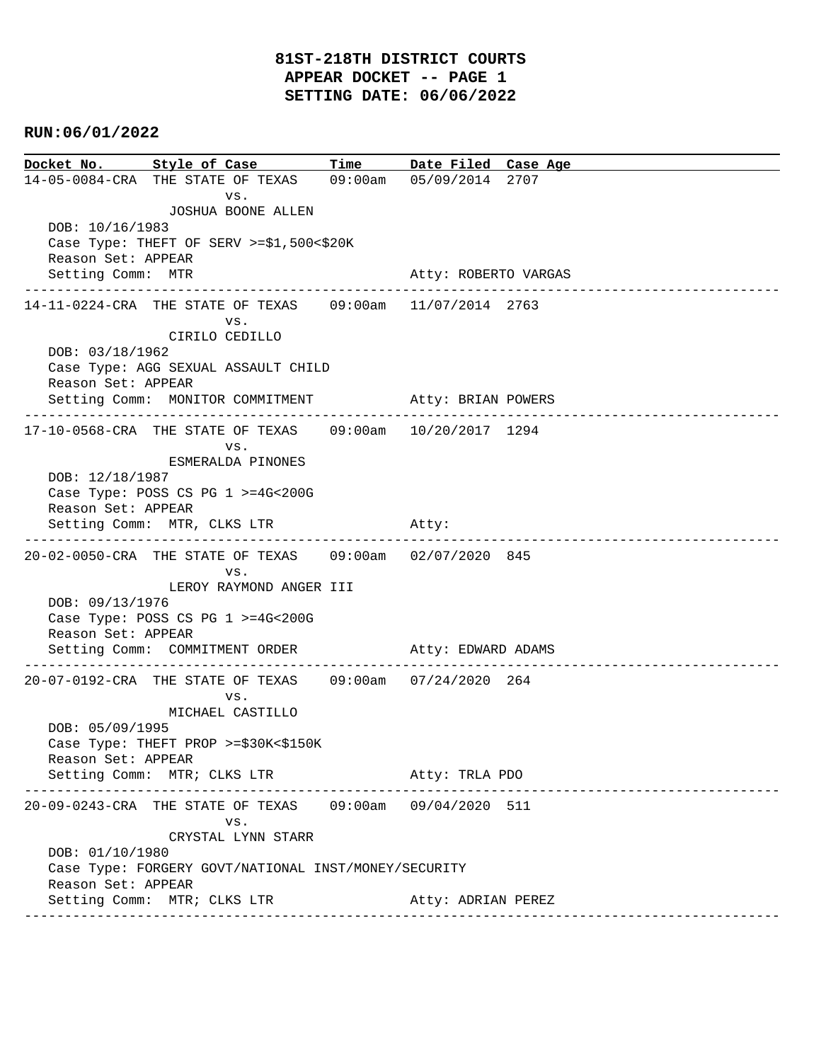## **RUN:06/01/2022**

**Docket No. Style of Case Time Date Filed Case Age**  14-05-0084-CRA THE STATE OF TEXAS 09:00am 05/09/2014 2707 vs. JOSHUA BOONE ALLEN DOB: 10/16/1983 Case Type: THEFT OF SERV >=\$1,500<\$20K Reason Set: APPEAR Setting Comm: MTR Atty: ROBERTO VARGAS ---------------------------------------------------------------------------------------------- 14-11-0224-CRA THE STATE OF TEXAS 09:00am 11/07/2014 2763 vs. CIRILO CEDILLO DOB: 03/18/1962 Case Type: AGG SEXUAL ASSAULT CHILD Reason Set: APPEAR Setting Comm: MONITOR COMMITMENT Atty: BRIAN POWERS ---------------------------------------------------------------------------------------------- 17-10-0568-CRA THE STATE OF TEXAS 09:00am 10/20/2017 1294 vs. ESMERALDA PINONES DOB: 12/18/1987 Case Type: POSS CS PG 1 >=4G<200G Reason Set: APPEAR Setting Comm: MTR, CLKS LTR Atty: ---------------------------------------------------------------------------------------------- 20-02-0050-CRA THE STATE OF TEXAS 09:00am 02/07/2020 845 vs. LEROY RAYMOND ANGER III DOB: 09/13/1976 Case Type: POSS CS PG 1 >=4G<200G Reason Set: APPEAR Setting Comm: COMMITMENT ORDER Atty: EDWARD ADAMS ---------------------------------------------------------------------------------------------- 20-07-0192-CRA THE STATE OF TEXAS 09:00am 07/24/2020 264 vs. MICHAEL CASTILLO DOB: 05/09/1995 Case Type: THEFT PROP >=\$30K<\$150K Reason Set: APPEAR Setting Comm: MTR; CLKS LTR Atty: TRLA PDO ---------------------------------------------------------------------------------------------- 20-09-0243-CRA THE STATE OF TEXAS 09:00am 09/04/2020 511 vs. CRYSTAL LYNN STARR DOB: 01/10/1980 Case Type: FORGERY GOVT/NATIONAL INST/MONEY/SECURITY Reason Set: APPEAR Setting Comm: MTR; CLKS LTR Atty: ADRIAN PEREZ ----------------------------------------------------------------------------------------------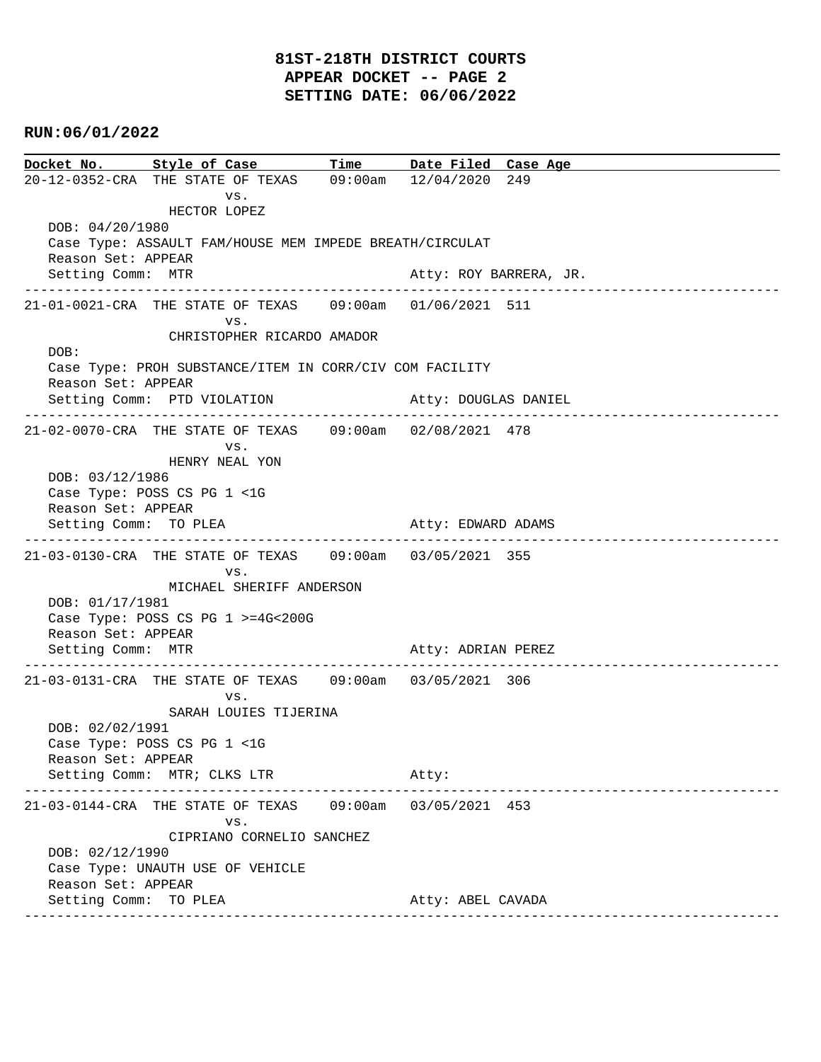# **81ST-218TH DISTRICT COURTS APPEAR DOCKET -- PAGE 2 SETTING DATE: 06/06/2022**

## **RUN:06/01/2022**

**Docket No. Style of Case Time Date Filed Case Age**  20-12-0352-CRA THE STATE OF TEXAS 09:00am 12/04/2020 249 vs. HECTOR LOPEZ DOB: 04/20/1980 Case Type: ASSAULT FAM/HOUSE MEM IMPEDE BREATH/CIRCULAT Reason Set: APPEAR Setting Comm: MTR **Atty: ROY BARRERA**, JR. ---------------------------------------------------------------------------------------------- 21-01-0021-CRA THE STATE OF TEXAS 09:00am 01/06/2021 511 vs. CHRISTOPHER RICARDO AMADOR DOB: Case Type: PROH SUBSTANCE/ITEM IN CORR/CIV COM FACILITY Reason Set: APPEAR Setting Comm: PTD VIOLATION Atty: DOUGLAS DANIEL ---------------------------------------------------------------------------------------------- 21-02-0070-CRA THE STATE OF TEXAS 09:00am 02/08/2021 478 vs. HENRY NEAL YON DOB: 03/12/1986 Case Type: POSS CS PG 1 <1G Reason Set: APPEAR Setting Comm: TO PLEA Atty: EDWARD ADAMS ---------------------------------------------------------------------------------------------- 21-03-0130-CRA THE STATE OF TEXAS 09:00am 03/05/2021 355 vs. MICHAEL SHERIFF ANDERSON DOB: 01/17/1981 Case Type: POSS CS PG 1 >=4G<200G Reason Set: APPEAR Setting Comm: MTR Atty: ADRIAN PEREZ ---------------------------------------------------------------------------------------------- 21-03-0131-CRA THE STATE OF TEXAS 09:00am 03/05/2021 306 vs. SARAH LOUIES TIJERINA DOB: 02/02/1991 Case Type: POSS CS PG 1 <1G Reason Set: APPEAR Setting Comm: MTR; CLKS LTR Atty: ---------------------------------------------------------------------------------------------- 21-03-0144-CRA THE STATE OF TEXAS 09:00am 03/05/2021 453 vs. CIPRIANO CORNELIO SANCHEZ DOB: 02/12/1990 Case Type: UNAUTH USE OF VEHICLE Reason Set: APPEAR Setting Comm: TO PLEA Atty: ABEL CAVADA ----------------------------------------------------------------------------------------------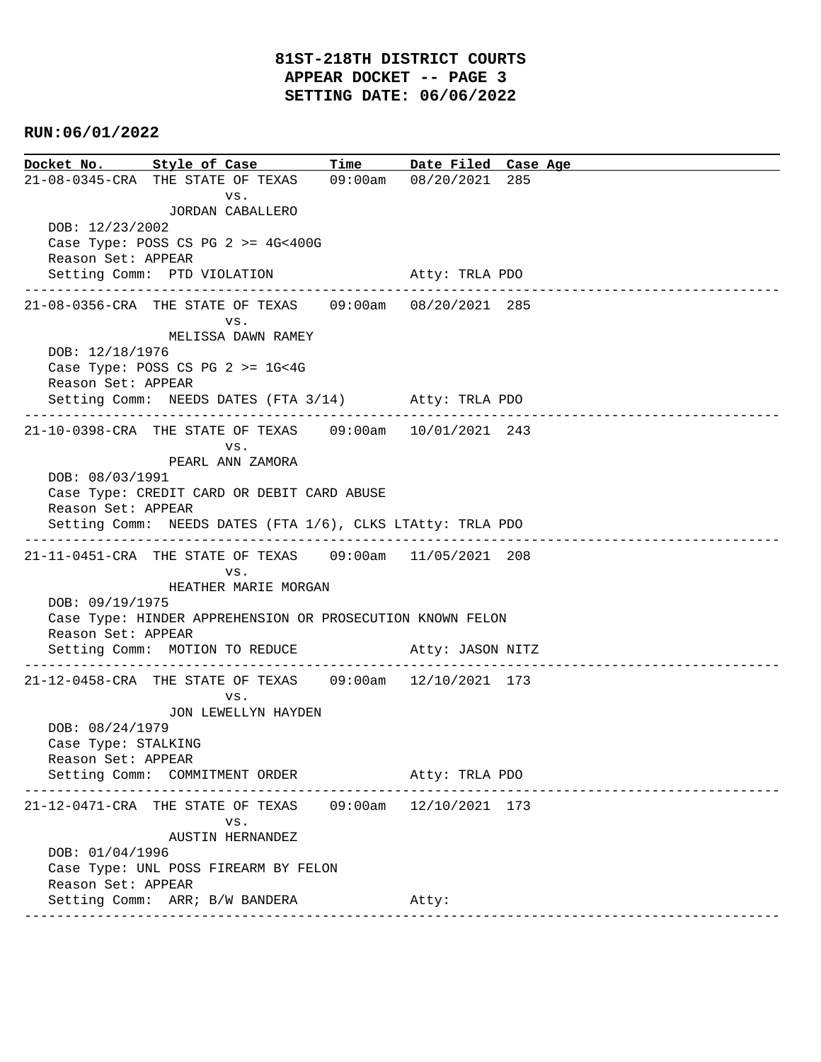## **RUN:06/01/2022**

**Docket No. Style of Case Time Date Filed Case Age**  21-08-0345-CRA THE STATE OF TEXAS 09:00am 08/20/2021 285 vs. JORDAN CABALLERO DOB: 12/23/2002 Case Type: POSS CS PG 2 >= 4G<400G Reason Set: APPEAR Setting Comm: PTD VIOLATION 61 Atty: TRLA PDO ---------------------------------------------------------------------------------------------- 21-08-0356-CRA THE STATE OF TEXAS 09:00am 08/20/2021 285 vs. MELISSA DAWN RAMEY DOB: 12/18/1976 Case Type: POSS CS PG 2 >= 1G<4G Reason Set: APPEAR Setting Comm: NEEDS DATES (FTA 3/14) Atty: TRLA PDO ---------------------------------------------------------------------------------------------- 21-10-0398-CRA THE STATE OF TEXAS 09:00am 10/01/2021 243 vs. PEARL ANN ZAMORA DOB: 08/03/1991 Case Type: CREDIT CARD OR DEBIT CARD ABUSE Reason Set: APPEAR Setting Comm: NEEDS DATES (FTA 1/6), CLKS LTAtty: TRLA PDO ---------------------------------------------------------------------------------------------- 21-11-0451-CRA THE STATE OF TEXAS 09:00am 11/05/2021 208 vs. HEATHER MARIE MORGAN DOB: 09/19/1975 Case Type: HINDER APPREHENSION OR PROSECUTION KNOWN FELON Reason Set: APPEAR Setting Comm: MOTION TO REDUCE Atty: JASON NITZ ---------------------------------------------------------------------------------------------- 21-12-0458-CRA THE STATE OF TEXAS 09:00am 12/10/2021 173 vs. JON LEWELLYN HAYDEN DOB: 08/24/1979 Case Type: STALKING Reason Set: APPEAR Setting Comm: COMMITMENT ORDER Atty: TRLA PDO ---------------------------------------------------------------------------------------------- 21-12-0471-CRA THE STATE OF TEXAS 09:00am 12/10/2021 173 vs. AUSTIN HERNANDEZ DOB: 01/04/1996 Case Type: UNL POSS FIREARM BY FELON Reason Set: APPEAR Setting Comm: ARR; B/W BANDERA Atty: ----------------------------------------------------------------------------------------------